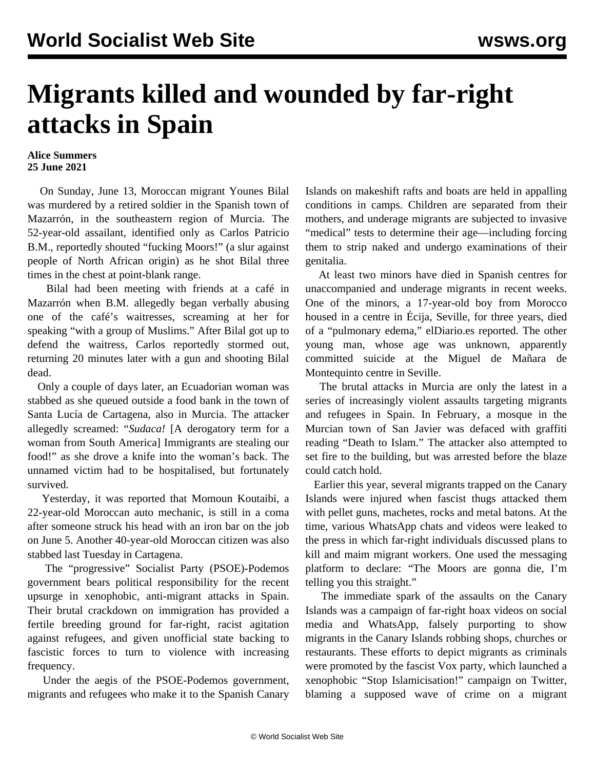## **Migrants killed and wounded by far-right attacks in Spain**

## **Alice Summers 25 June 2021**

 On Sunday, June 13, Moroccan migrant Younes Bilal was murdered by a retired soldier in the Spanish town of Mazarrón, in the southeastern region of Murcia. The 52-year-old assailant, identified only as Carlos Patricio B.M., reportedly shouted "fucking Moors!" (a slur against people of North African origin) as he shot Bilal three times in the chest at point-blank range.

 Bilal had been meeting with friends at a café in Mazarrón when B.M. allegedly began verbally abusing one of the café's waitresses, screaming at her for speaking "with a group of Muslims." After Bilal got up to defend the waitress, Carlos reportedly stormed out, returning 20 minutes later with a gun and shooting Bilal dead.

 Only a couple of days later, an Ecuadorian woman was stabbed as she queued outside a food bank in the town of Santa Lucía de Cartagena, also in Murcia. The attacker allegedly screamed: "*Sudaca!* [A derogatory term for a woman from South America] Immigrants are stealing our food!" as she drove a knife into the woman's back. The unnamed victim had to be hospitalised, but fortunately survived.

 Yesterday, it was reported that Momoun Koutaibi, a 22-year-old Moroccan auto mechanic, is still in a coma after someone struck his head with an iron bar on the job on June 5. Another 40-year-old Moroccan citizen was also stabbed last Tuesday in Cartagena.

 The "progressive" Socialist Party (PSOE)-Podemos government bears political responsibility for the recent upsurge in xenophobic, anti-migrant attacks in Spain. Their brutal crackdown on immigration has provided a fertile breeding ground for far-right, racist agitation against refugees, and given unofficial state backing to fascistic forces to turn to violence with increasing frequency.

 Under the aegis of the PSOE-Podemos government, migrants and refugees who make it to the Spanish Canary

Islands on makeshift rafts and boats are held in appalling conditions in camps. Children are [separated](/en/articles/2020/10/24/spai-o24.html) from their mothers, and underage migrants are subjected to invasive "medical" tests to [determine their age—](/en/articles/2021/04/15/spai-a15.html)including forcing them to strip naked and undergo examinations of their genitalia.

 At least two minors have died in Spanish centres for unaccompanied and underage migrants in recent weeks. One of the minors, a 17-year-old boy from Morocco housed in a centre in Écija, Seville, for three years, died of a "pulmonary edema," elDiario.es reported. The other young man, whose age was unknown, apparently committed suicide at the Miguel de Mañara de Montequinto centre in Seville.

 The brutal attacks in Murcia are only the latest in a series of increasingly violent assaults targeting migrants and refugees in Spain. In February, a mosque in the Murcian town of San Javier was defaced with graffiti reading "Death to Islam." The attacker also attempted to set fire to the building, but was arrested before the blaze could catch hold.

 Earlier this year, several migrants trapped on the Canary Islands were injured when fascist thugs [attacked](/en/articles/2021/02/11/cana-f11.html) them with pellet guns, machetes, rocks and metal batons. At the time, various WhatsApp chats and videos were leaked to the press in which far-right individuals discussed plans to kill and maim migrant workers. One used the messaging platform to declare: "The Moors are gonna die, I'm telling you this straight."

 The immediate spark of the assaults on the Canary Islands was a campaign of far-right hoax videos on social media and WhatsApp, falsely purporting to show migrants in the Canary Islands robbing shops, churches or restaurants. These efforts to depict migrants as criminals were promoted by the fascist Vox party, which launched a xenophobic "Stop Islamicisation!" campaign on Twitter, blaming a supposed wave of crime on a migrant